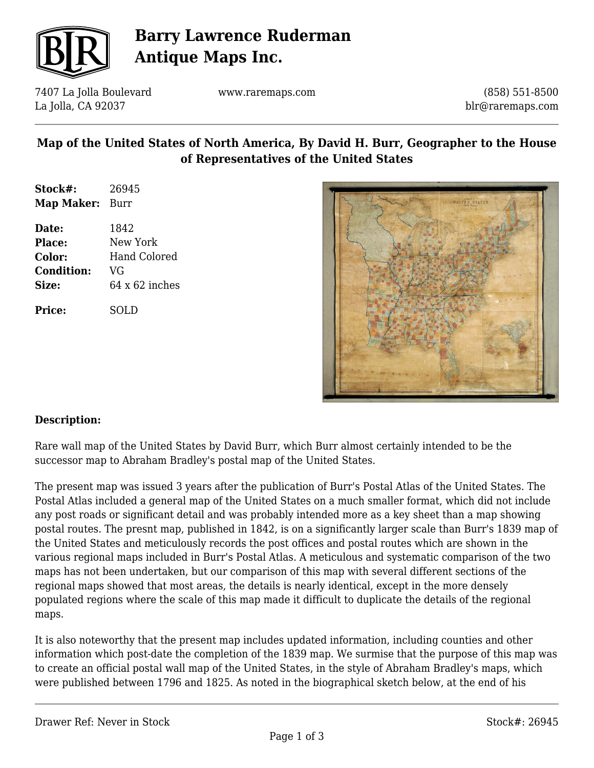

# **Barry Lawrence Ruderman Antique Maps Inc.**

7407 La Jolla Boulevard La Jolla, CA 92037

www.raremaps.com

(858) 551-8500 blr@raremaps.com

#### **Map of the United States of North America, By David H. Burr, Geographer to the House of Representatives of the United States**

| Stock#:    | 26945 |
|------------|-------|
| Map Maker: | Burr  |

**Date:** 1842 **Place:** New York **Color:** Hand Colored **Condition:** VG **Size:** 64 x 62 inches

**Price:** SOLD



#### **Description:**

Rare wall map of the United States by David Burr, which Burr almost certainly intended to be the successor map to Abraham Bradley's postal map of the United States.

The present map was issued 3 years after the publication of Burr's Postal Atlas of the United States. The Postal Atlas included a general map of the United States on a much smaller format, which did not include any post roads or significant detail and was probably intended more as a key sheet than a map showing postal routes. The presnt map, published in 1842, is on a significantly larger scale than Burr's 1839 map of the United States and meticulously records the post offices and postal routes which are shown in the various regional maps included in Burr's Postal Atlas. A meticulous and systematic comparison of the two maps has not been undertaken, but our comparison of this map with several different sections of the regional maps showed that most areas, the details is nearly identical, except in the more densely populated regions where the scale of this map made it difficult to duplicate the details of the regional maps.

It is also noteworthy that the present map includes updated information, including counties and other information which post-date the completion of the 1839 map. We surmise that the purpose of this map was to create an official postal wall map of the United States, in the style of Abraham Bradley's maps, which were published between 1796 and 1825. As noted in the biographical sketch below, at the end of his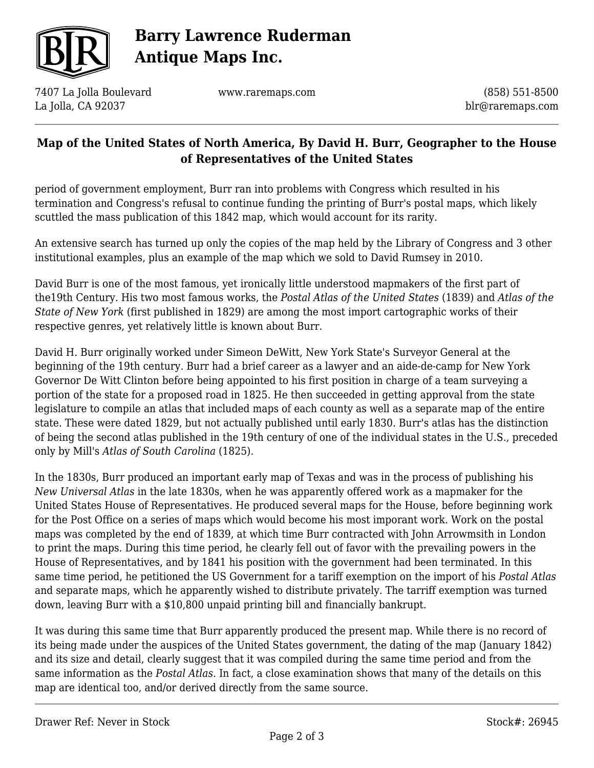

# **Barry Lawrence Ruderman Antique Maps Inc.**

7407 La Jolla Boulevard La Jolla, CA 92037

www.raremaps.com

(858) 551-8500 blr@raremaps.com

### **Map of the United States of North America, By David H. Burr, Geographer to the House of Representatives of the United States**

period of government employment, Burr ran into problems with Congress which resulted in his termination and Congress's refusal to continue funding the printing of Burr's postal maps, which likely scuttled the mass publication of this 1842 map, which would account for its rarity.

An extensive search has turned up only the copies of the map held by the Library of Congress and 3 other institutional examples, plus an example of the map which we sold to David Rumsey in 2010.

David Burr is one of the most famous, yet ironically little understood mapmakers of the first part of the19th Century. His two most famous works, the *Postal Atlas of the United States* (1839) and *Atlas of the State of New York* (first published in 1829) are among the most import cartographic works of their respective genres, yet relatively little is known about Burr.

David H. Burr originally worked under Simeon DeWitt, New York State's Surveyor General at the beginning of the 19th century. Burr had a brief career as a lawyer and an aide-de-camp for New York Governor De Witt Clinton before being appointed to his first position in charge of a team surveying a portion of the state for a proposed road in 1825. He then succeeded in getting approval from the state legislature to compile an atlas that included maps of each county as well as a separate map of the entire state. These were dated 1829, but not actually published until early 1830. Burr's atlas has the distinction of being the second atlas published in the 19th century of one of the individual states in the U.S., preceded only by Mill's *Atlas of South Carolina* (1825).

In the 1830s, Burr produced an important early map of Texas and was in the process of publishing his *New Universal Atlas* in the late 1830s, when he was apparently offered work as a mapmaker for the United States House of Representatives. He produced several maps for the House, before beginning work for the Post Office on a series of maps which would become his most imporant work. Work on the postal maps was completed by the end of 1839, at which time Burr contracted with John Arrowmsith in London to print the maps. During this time period, he clearly fell out of favor with the prevailing powers in the House of Representatives, and by 1841 his position with the government had been terminated. In this same time period, he petitioned the US Government for a tariff exemption on the import of his *Postal Atlas* and separate maps, which he apparently wished to distribute privately. The tarriff exemption was turned down, leaving Burr with a \$10,800 unpaid printing bill and financially bankrupt.

It was during this same time that Burr apparently produced the present map. While there is no record of its being made under the auspices of the United States government, the dating of the map (January 1842) and its size and detail, clearly suggest that it was compiled during the same time period and from the same information as the *Postal Atlas*. In fact, a close examination shows that many of the details on this map are identical too, and/or derived directly from the same source.